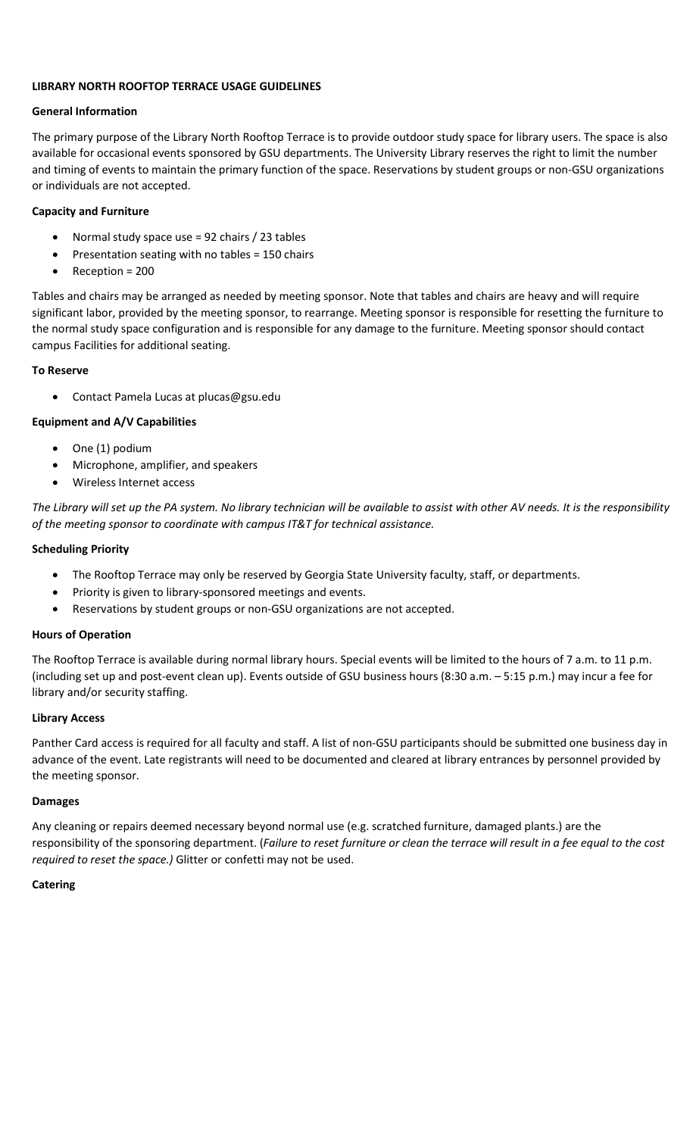### LIBRARY NORTH ROOFTOP TERRACE USAGE GUIDELINES

#### General Information

The primary purpose of the Library North Rooftop Terrace is to provide outdoor study space for library users. The space is also available for occasional events sponsored by GSU departments. The University Library reserves the right to limit the number and timing of events to maintain the primary function of the space. Reservations by student groups or non-GSU organizations or individuals are not accepted.

### Capacity and Furniture

- Normal study space use = 92 chairs / 23 tables
- Presentation seating with no tables = 150 chairs
- Reception = 200

Tables and chairs may be arranged as needed by meeting sponsor. Note that tables and chairs are heavy and will require significant labor, provided by the meeting sponsor, to rearrange. Meeting sponsor is responsible for resetting the furniture to the normal study space configuration and is responsible for any damage to the furniture. Meeting sponsor should contact campus Facilities for additional seating.

# To Reserve

Contact Pamela Lucas at plucas@gsu.edu

# Equipment and A/V Capabilities

- One (1) podium
- Microphone, amplifier, and speakers
- Wireless Internet access

The Library will set up the PA system. No library technician will be available to assist with other AV needs. It is the responsibility of the meeting sponsor to coordinate with campus IT&T for technical assistance.

#### Scheduling Priority

- The Rooftop Terrace may only be reserved by Georgia State University faculty, staff, or departments.
- Priority is given to library-sponsored meetings and events.
- Reservations by student groups or non-GSU organizations are not accepted.

# Hours of Operation

The Rooftop Terrace is available during normal library hours. Special events will be limited to the hours of 7 a.m. to 11 p.m. (including set up and post-event clean up). Events outside of GSU business hours (8:30 a.m. – 5:15 p.m.) may incur a fee for library and/or security staffing.

# Library Access

Panther Card access is required for all faculty and staff. A list of non-GSU participants should be submitted one business day in advance of the event. Late registrants will need to be documented and cleared at library entrances by personnel provided by the meeting sponsor.

# Damages

Any cleaning or repairs deemed necessary beyond normal use (e.g. scratched furniture, damaged plants.) are the responsibility of the sponsoring department. (Failure to reset furniture or clean the terrace will result in a fee equal to the cost required to reset the space.) Glitter or confetti may not be used.

# **Catering**